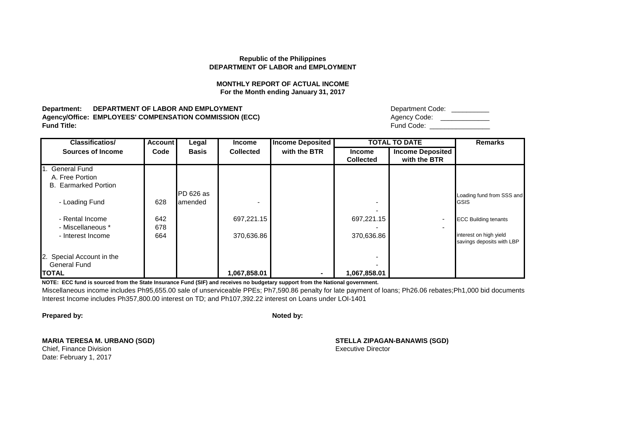### **MONTHLY REPORT OF ACTUAL INCOME For the Month ending January 31, 2017**

**Department: DEPARTMENT OF LABOR AND EMPLOYMENT Agency/Office: EMPLOYEES' COMPENSATION COMMISSION (ECC)**<br>Fund Title: **Fund Title:** Fund Code: \_\_\_\_\_\_\_\_\_\_\_\_\_\_\_\_

| Department Code: |
|------------------|
| Agency Code:     |
| Fund Code:       |

| <b>Classificatios/</b>      | <b>Account</b> | Legal        | <b>Income</b>    | <b>Income Deposited</b> |                  | <b>TOTAL TO DATE</b>     | <b>Remarks</b>              |
|-----------------------------|----------------|--------------|------------------|-------------------------|------------------|--------------------------|-----------------------------|
| <b>Sources of Income</b>    | Code           | <b>Basis</b> | <b>Collected</b> | with the BTR            | <b>Income</b>    | <b>Income Deposited</b>  |                             |
|                             |                |              |                  |                         | <b>Collected</b> | with the BTR             |                             |
| 1. General Fund             |                |              |                  |                         |                  |                          |                             |
| A. Free Portion             |                |              |                  |                         |                  |                          |                             |
| <b>B.</b> Earmarked Portion |                |              |                  |                         |                  |                          |                             |
|                             |                | $PD626$ as   |                  |                         |                  |                          | Loading fund from SSS and   |
| - Loading Fund              | 628            | lamended     |                  |                         |                  |                          | <b>GSIS</b>                 |
|                             |                |              |                  |                         |                  |                          |                             |
| - Rental Income             | 642            |              | 697,221.15       |                         | 697,221.15       |                          | <b>ECC Building tenants</b> |
| - Miscellaneous *           | 678            |              |                  |                         |                  | $\overline{\phantom{0}}$ |                             |
| - Interest Income           | 664            |              | 370,636.86       |                         | 370,636.86       |                          | interest on high yield      |
|                             |                |              |                  |                         |                  |                          | savings deposits with LBP   |
| 2. Special Account in the   |                |              |                  |                         |                  |                          |                             |
| <b>General Fund</b>         |                |              |                  |                         |                  |                          |                             |
|                             |                |              |                  |                         |                  |                          |                             |
| <b>TOTAL</b>                |                |              | 1,067,858.01     |                         | 1,067,858.01     |                          |                             |

**NOTE: ECC fund is sourced from the State Insurance Fund (SIF) and receives no budgetary support from the National government.**

Miscellaneous income includes Ph95,655.00 sale of unserviceable PPEs; Ph7,590.86 penalty for late payment of loans; Ph26.06 rebates;Ph1,000 bid documents Interest Income includes Ph357,800.00 interest on TD; and Ph107,392.22 interest on Loans under LOI-1401

**Prepared by: Noted by: Noted by: Noted by: Noted by: Noted by: Noted by: Noted by: Noted by: Noted by: Noted by: Noted by: Noted by: Noted by: Noted by: Noted by: Noted by: Noted by: No** 

**MARIA TERESA M. URBANO (SGD) STELLA ZIPAGAN-BANAWIS (SGD)**

Date: February 1, 2017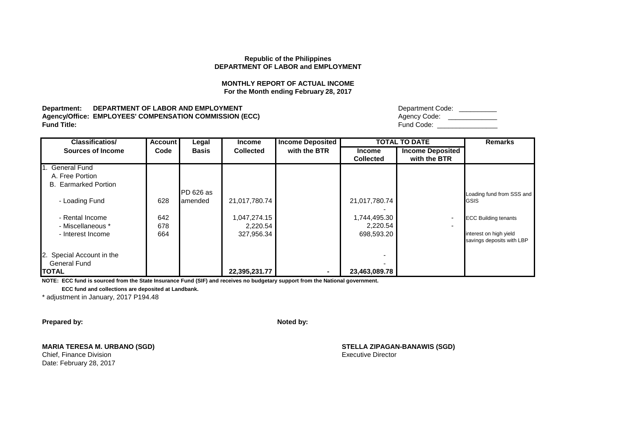# **MONTHLY REPORT OF ACTUAL INCOME For the Month ending February 28, 2017**

**Department: DEPARTMENT OF LABOR AND EMPLOYMENT Agency/Office: EMPLOYEES' COMPENSATION COMMISSION (ECC) Fund Title:** Fund Code: \_\_\_\_\_\_\_\_\_\_\_\_\_\_\_\_

| Department Code: |  |
|------------------|--|
| Agency Code:     |  |
| Fund Code:       |  |

| <b>Classificatios/</b>      | <b>Account</b> | Legal        | <b>Income</b>    | <b>Income Deposited</b> |                  | <b>TOTAL TO DATE</b>    | <b>Remarks</b>              |
|-----------------------------|----------------|--------------|------------------|-------------------------|------------------|-------------------------|-----------------------------|
| <b>Sources of Income</b>    | Code           | <b>Basis</b> | <b>Collected</b> | with the BTR            | <b>Income</b>    | <b>Income Deposited</b> |                             |
|                             |                |              |                  |                         | <b>Collected</b> | with the BTR            |                             |
| 1. General Fund             |                |              |                  |                         |                  |                         |                             |
| A. Free Portion             |                |              |                  |                         |                  |                         |                             |
| <b>B.</b> Earmarked Portion |                |              |                  |                         |                  |                         |                             |
|                             |                | PD 626 as    |                  |                         |                  |                         | Loading fund from SSS and   |
| - Loading Fund              | 628            | amended      | 21,017,780.74    |                         | 21,017,780.74    |                         | <b>GSIS</b>                 |
|                             |                |              |                  |                         |                  |                         |                             |
| - Rental Income             | 642            |              | 1,047,274.15     |                         | 1,744,495.30     | ٠                       | <b>ECC Building tenants</b> |
| - Miscellaneous *           | 678            |              | 2,220.54         |                         | 2,220.54         | $\blacksquare$          |                             |
| - Interest Income           | 664            |              | 327,956.34       |                         | 698,593.20       |                         | interest on high yield      |
|                             |                |              |                  |                         |                  |                         | savings deposits with LBP   |
|                             |                |              |                  |                         |                  |                         |                             |
| 2. Special Account in the   |                |              |                  |                         |                  |                         |                             |
| <b>General Fund</b>         |                |              |                  |                         |                  |                         |                             |
| <b>TOTAL</b>                |                |              | 22,395,231.77    |                         | 23,463,089.78    |                         |                             |

**NOTE: ECC fund is sourced from the State Insurance Fund (SIF) and receives no budgetary support from the National government.**

 **ECC fund and collections are deposited at Landbank.**

\* adjustment in January, 2017 P194.48

**Prepared by: Noted by: Noted by: Noted by: Noted by: Noted by: Noted by: Noted by: Noted by: Noted by: Noted by: Noted by: Noted by: Noted by: Noted by: Noted by: Noted by: Noted by: No** 

**MARIA TERESA M. URBANO (SGD) STELLA ZIPAGAN-BANAWIS (SGD)**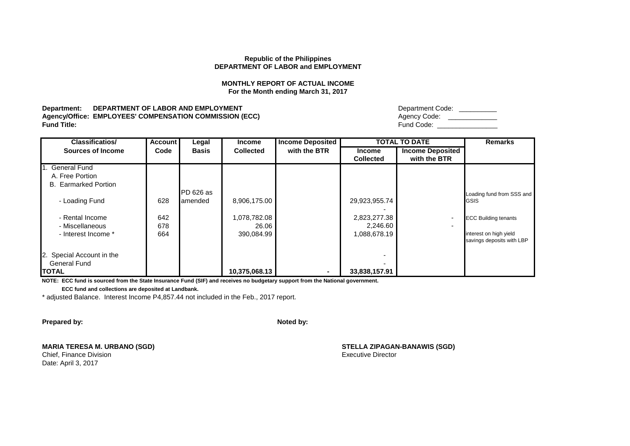# **MONTHLY REPORT OF ACTUAL INCOME For the Month ending March 31, 2017**

**Department: DEPARTMENT OF LABOR AND EMPLOYMENT Agency/Office: EMPLOYEES' COMPENSATION COMMISSION (ECC) Fund Title:** Fund Code: \_\_\_\_\_\_\_\_\_\_\_\_\_\_\_\_

| Department Code: |  |
|------------------|--|
| Agency Code:     |  |
| Fund Code:       |  |

| <b>Classificatios/</b>      | <b>Account</b> | Legal        | <b>Income</b>    | <b>Income Deposited</b> |                  | <b>TOTAL TO DATE</b>     | <b>Remarks</b>              |
|-----------------------------|----------------|--------------|------------------|-------------------------|------------------|--------------------------|-----------------------------|
| <b>Sources of Income</b>    | Code           | <b>Basis</b> | <b>Collected</b> | with the BTR            | <b>Income</b>    | <b>Income Deposited</b>  |                             |
|                             |                |              |                  |                         | <b>Collected</b> | with the BTR             |                             |
| 1. General Fund             |                |              |                  |                         |                  |                          |                             |
| A. Free Portion             |                |              |                  |                         |                  |                          |                             |
| <b>B.</b> Earmarked Portion |                |              |                  |                         |                  |                          |                             |
|                             |                | PD 626 as    |                  |                         |                  |                          | Loading fund from SSS and   |
| - Loading Fund              | 628            | amended      | 8,906,175.00     |                         | 29,923,955.74    |                          | GSIS                        |
|                             |                |              |                  |                         |                  |                          |                             |
| - Rental Income             | 642            |              | 1,078,782.08     |                         | 2,823,277.38     | ۰.                       | <b>ECC Building tenants</b> |
| - Miscellaneous             | 678            |              | 26.06            |                         | 2,246.60         | $\overline{\phantom{0}}$ |                             |
| - Interest Income *         | 664            |              | 390,084.99       |                         | 1,088,678.19     |                          | interest on high yield      |
|                             |                |              |                  |                         |                  |                          | savings deposits with LBP   |
|                             |                |              |                  |                         |                  |                          |                             |
| 2. Special Account in the   |                |              |                  |                         |                  |                          |                             |
| <b>General Fund</b>         |                |              |                  |                         |                  |                          |                             |
| <b>TOTAL</b>                |                |              | 10,375,068.13    |                         | 33,838,157.91    |                          |                             |

**NOTE: ECC fund is sourced from the State Insurance Fund (SIF) and receives no budgetary support from the National government.**

 **ECC fund and collections are deposited at Landbank.**

\* adjusted Balance. Interest Income P4,857.44 not included in the Feb., 2017 report.

**Prepared by: Noted by: Noted by: Noted by: Noted by: Noted by: Noted by: Noted by: Noted by: Noted by: Noted by: Noted by: Noted by: Noted by: Noted by: Noted by: Noted by: Noted by: No** 

**MARIA TERESA M. URBANO (SGD) STELLA ZIPAGAN-BANAWIS (SGD)**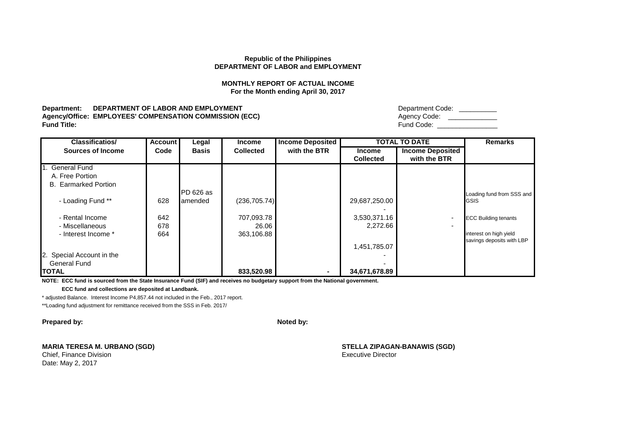# **MONTHLY REPORT OF ACTUAL INCOME For the Month ending April 30, 2017**

**Department: DEPARTMENT OF LABOR AND EMPLOYMENT Agency/Office: EMPLOYEES' COMPENSATION COMMISSION (ECC) Fund Title:** Fund Code: \_\_\_\_\_\_\_\_\_\_\_\_\_\_\_\_

| Department Code: |  |
|------------------|--|
| Agency Code:     |  |
| Fund Code:       |  |

| <b>Classificatios/</b>      | <b>Account</b> | Legal        | <b>Income</b>    | <b>Income Deposited</b> |                  | <b>TOTAL TO DATE</b>    | <b>Remarks</b>              |
|-----------------------------|----------------|--------------|------------------|-------------------------|------------------|-------------------------|-----------------------------|
| <b>Sources of Income</b>    | Code           | <b>Basis</b> | <b>Collected</b> | with the BTR            | <b>Income</b>    | <b>Income Deposited</b> |                             |
|                             |                |              |                  |                         | <b>Collected</b> | with the BTR            |                             |
| 1. General Fund             |                |              |                  |                         |                  |                         |                             |
| A. Free Portion             |                |              |                  |                         |                  |                         |                             |
| <b>B.</b> Earmarked Portion |                |              |                  |                         |                  |                         |                             |
|                             |                | PD 626 as    |                  |                         |                  |                         | Loading fund from SSS and   |
| - Loading Fund **           | 628            | lamended     | (236, 705.74)    |                         | 29,687,250.00    |                         | <b>GSIS</b>                 |
|                             |                |              |                  |                         |                  |                         |                             |
| - Rental Income             | 642            |              | 707,093.78       |                         | 3,530,371.16     | ٠                       | <b>ECC Building tenants</b> |
| - Miscellaneous             | 678            |              | 26.06            |                         | 2,272.66         | $\blacksquare$          |                             |
| - Interest Income *         | 664            |              | 363,106.88       |                         |                  |                         | interest on high yield      |
|                             |                |              |                  |                         |                  |                         | savings deposits with LBP   |
|                             |                |              |                  |                         | 1,451,785.07     |                         |                             |
| 2. Special Account in the   |                |              |                  |                         |                  |                         |                             |
| <b>General Fund</b>         |                |              |                  |                         |                  |                         |                             |
| <b>TOTAL</b>                |                |              | 833,520.98       |                         | 34,671,678.89    |                         |                             |

**NOTE: ECC fund is sourced from the State Insurance Fund (SIF) and receives no budgetary support from the National government.**

 **ECC fund and collections are deposited at Landbank.**

\* adjusted Balance. Interest Income P4,857.44 not included in the Feb., 2017 report.

\*\*Loading fund adjustment for remittance received from the SSS in Feb. 2017/

**Prepared by: Noted by: Noted by: Noted by: Noted by: Noted by: Noted by: Noted by: Noted by: Noted by: Noted by: Noted by: Noted by: Noted by: Noted by: Noted by: Noted by: Noted by: No** 

**MARIA TERESA M. URBANO (SGD) STELLA ZIPAGAN-BANAWIS (SGD)**

Date: May 2, 2017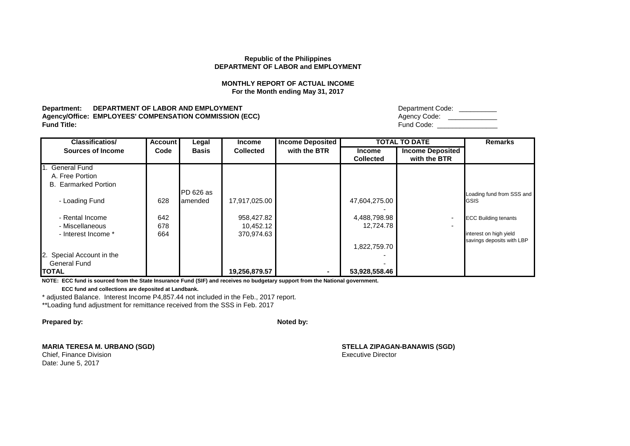# **MONTHLY REPORT OF ACTUAL INCOME For the Month ending May 31, 2017**

**Department: DEPARTMENT OF LABOR AND EMPLOYMENT Agency/Office: EMPLOYEES' COMPENSATION COMMISSION (ECC) Fund Title:** Fund Code: \_\_\_\_\_\_\_\_\_\_\_\_\_\_\_\_

| Department Code: |  |
|------------------|--|
| Agency Code:     |  |
| Fund Code:       |  |

| <b>Classificatios/</b>      | <b>Account</b> | Legal        | <b>Income</b>    | <b>Income Deposited</b> |                  | <b>TOTAL TO DATE</b>    | <b>Remarks</b>              |
|-----------------------------|----------------|--------------|------------------|-------------------------|------------------|-------------------------|-----------------------------|
| <b>Sources of Income</b>    | Code           | <b>Basis</b> | <b>Collected</b> | with the BTR            | <b>Income</b>    | <b>Income Deposited</b> |                             |
|                             |                |              |                  |                         | <b>Collected</b> | with the BTR            |                             |
| 1. General Fund             |                |              |                  |                         |                  |                         |                             |
| A. Free Portion             |                |              |                  |                         |                  |                         |                             |
| <b>B.</b> Earmarked Portion |                |              |                  |                         |                  |                         |                             |
|                             |                | PD 626 as    |                  |                         |                  |                         | Loading fund from SSS and   |
| - Loading Fund              | 628            | amended      | 17,917,025.00    |                         | 47,604,275.00    |                         | <b>GSIS</b>                 |
|                             |                |              |                  |                         |                  |                         |                             |
| - Rental Income             | 642            |              | 958,427.82       |                         | 4,488,798.98     | ٠                       | <b>ECC Building tenants</b> |
| - Miscellaneous             | 678            |              | 10,452.12        |                         | 12,724.78        | $\blacksquare$          |                             |
| - Interest Income *         | 664            |              | 370,974.63       |                         |                  |                         | interest on high yield      |
|                             |                |              |                  |                         |                  |                         | savings deposits with LBP   |
|                             |                |              |                  |                         | 1,822,759.70     |                         |                             |
| 2. Special Account in the   |                |              |                  |                         |                  |                         |                             |
| <b>General Fund</b>         |                |              |                  |                         |                  |                         |                             |
| <b>TOTAL</b>                |                |              | 19,256,879.57    |                         | 53,928,558.46    |                         |                             |

**NOTE: ECC fund is sourced from the State Insurance Fund (SIF) and receives no budgetary support from the National government.**

 **ECC fund and collections are deposited at Landbank.**

\* adjusted Balance. Interest Income P4,857.44 not included in the Feb., 2017 report.

\*\*Loading fund adjustment for remittance received from the SSS in Feb. 2017

**Prepared by: Noted by: Noted by: Noted by: Noted by: Noted by: Noted by: Noted by: Noted by: Noted by: Noted by: Noted by: Noted by: Noted by: Noted by: Noted by: Noted by: Noted by: No** 

**MARIA TERESA M. URBANO (SGD) STELLA ZIPAGAN-BANAWIS (SGD)**

Date: June 5, 2017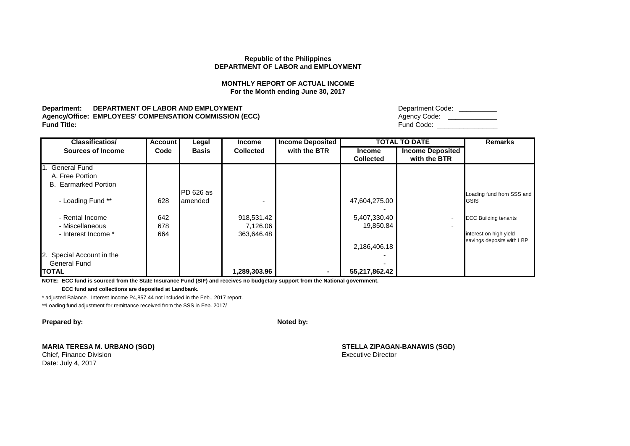## **MONTHLY REPORT OF ACTUAL INCOME For the Month ending June 30, 2017**

**Department: DEPARTMENT OF LABOR AND EMPLOYMENT Agency/Office: EMPLOYEES' COMPENSATION COMMISSION (ECC) Fund Title:** Fund Code: \_\_\_\_\_\_\_\_\_\_\_\_\_\_\_\_

| Department Code: |  |
|------------------|--|
| Agency Code:     |  |
| Fund Code:       |  |

| <b>Classificatios/</b>      | <b>Account</b> | Legal        | <b>Income</b>    | <b>Income Deposited</b> |                  | <b>TOTAL TO DATE</b>    | <b>Remarks</b>              |
|-----------------------------|----------------|--------------|------------------|-------------------------|------------------|-------------------------|-----------------------------|
| <b>Sources of Income</b>    | Code           | <b>Basis</b> | <b>Collected</b> | with the BTR            | <b>Income</b>    | <b>Income Deposited</b> |                             |
|                             |                |              |                  |                         | <b>Collected</b> | with the BTR            |                             |
| 1. General Fund             |                |              |                  |                         |                  |                         |                             |
| A. Free Portion             |                |              |                  |                         |                  |                         |                             |
| <b>B.</b> Earmarked Portion |                |              |                  |                         |                  |                         |                             |
|                             |                | PD 626 as    |                  |                         |                  |                         | Loading fund from SSS and   |
| - Loading Fund **           | 628            | amended      |                  |                         | 47,604,275.00    |                         | <b>GSIS</b>                 |
|                             |                |              |                  |                         |                  |                         |                             |
| - Rental Income             | 642            |              | 918,531.42       |                         | 5,407,330.40     | ٠                       | <b>ECC Building tenants</b> |
| - Miscellaneous             | 678            |              | 7,126.06         |                         | 19,850.84        | $\blacksquare$          |                             |
| - Interest Income *         | 664            |              | 363,646.48       |                         |                  |                         | interest on high yield      |
|                             |                |              |                  |                         |                  |                         | savings deposits with LBP   |
|                             |                |              |                  |                         | 2,186,406.18     |                         |                             |
| 2. Special Account in the   |                |              |                  |                         |                  |                         |                             |
| <b>General Fund</b>         |                |              |                  |                         |                  |                         |                             |
| <b>TOTAL</b>                |                |              | 1,289,303.96     |                         | 55,217,862.42    |                         |                             |

**NOTE: ECC fund is sourced from the State Insurance Fund (SIF) and receives no budgetary support from the National government.**

 **ECC fund and collections are deposited at Landbank.**

\* adjusted Balance. Interest Income P4,857.44 not included in the Feb., 2017 report.

\*\*Loading fund adjustment for remittance received from the SSS in Feb. 2017/

**Prepared by: Noted by: Noted by: Noted by: Noted by: Noted by: Noted by: Noted by: Noted by: Noted by: Noted by: Noted by: Noted by: Noted by: Noted by: Noted by: Noted by: Noted by: No** 

**MARIA TERESA M. URBANO (SGD) STELLA ZIPAGAN-BANAWIS (SGD)**

Date: July 4, 2017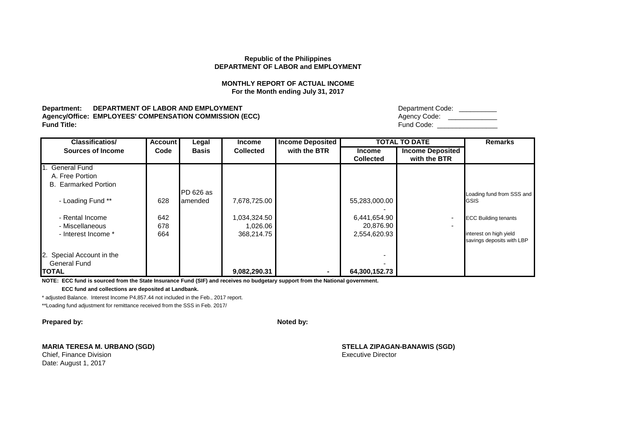# **MONTHLY REPORT OF ACTUAL INCOME For the Month ending July 31, 2017**

**Department: DEPARTMENT OF LABOR AND EMPLOYMENT Agency/Office: EMPLOYEES' COMPENSATION COMMISSION (ECC) Fund Title:** Fund Code: \_\_\_\_\_\_\_\_\_\_\_\_\_\_\_\_

| Department Code: |  |
|------------------|--|
| Agency Code:     |  |
| Fund Code:       |  |

| <b>Classificatios/</b>      | <b>Account</b> | Legal        | <b>Income</b>    | <b>Income Deposited</b> |                  | <b>TOTAL TO DATE</b>    | <b>Remarks</b>              |
|-----------------------------|----------------|--------------|------------------|-------------------------|------------------|-------------------------|-----------------------------|
| <b>Sources of Income</b>    | Code           | <b>Basis</b> | <b>Collected</b> | with the BTR            | <b>Income</b>    | <b>Income Deposited</b> |                             |
|                             |                |              |                  |                         | <b>Collected</b> | with the BTR            |                             |
| 1. General Fund             |                |              |                  |                         |                  |                         |                             |
| A. Free Portion             |                |              |                  |                         |                  |                         |                             |
| <b>B.</b> Earmarked Portion |                |              |                  |                         |                  |                         |                             |
|                             |                | PD 626 as    |                  |                         |                  |                         | Loading fund from SSS and   |
| - Loading Fund **           | 628            | amended      | 7,678,725.00     |                         | 55,283,000.00    |                         | <b>GSIS</b>                 |
|                             |                |              |                  |                         |                  |                         |                             |
| - Rental Income             | 642            |              | 1,034,324.50     |                         | 6,441,654.90     | ٠                       | <b>ECC Building tenants</b> |
| - Miscellaneous             | 678            |              | 1,026.06         |                         | 20,876.90        | $\blacksquare$          |                             |
| - Interest Income *         | 664            |              | 368,214.75       |                         | 2,554,620.93     |                         | interest on high yield      |
|                             |                |              |                  |                         |                  |                         | savings deposits with LBP   |
|                             |                |              |                  |                         |                  |                         |                             |
| 2. Special Account in the   |                |              |                  |                         |                  |                         |                             |
| <b>General Fund</b>         |                |              |                  |                         |                  |                         |                             |
| <b>TOTAL</b>                |                |              | 9,082,290.31     |                         | 64,300,152.73    |                         |                             |

**NOTE: ECC fund is sourced from the State Insurance Fund (SIF) and receives no budgetary support from the National government.**

 **ECC fund and collections are deposited at Landbank.**

\* adjusted Balance. Interest Income P4,857.44 not included in the Feb., 2017 report.

\*\*Loading fund adjustment for remittance received from the SSS in Feb. 2017/

**Prepared by: Noted by: Noted by: Noted by: Noted by: Noted by: Noted by: Noted by: Noted by: Noted by: Noted by: Noted by: Noted by: Noted by: Noted by: Noted by: Noted by: Noted by: No** 

**MARIA TERESA M. URBANO (SGD) STELLA ZIPAGAN-BANAWIS (SGD)**

Date: August 1, 2017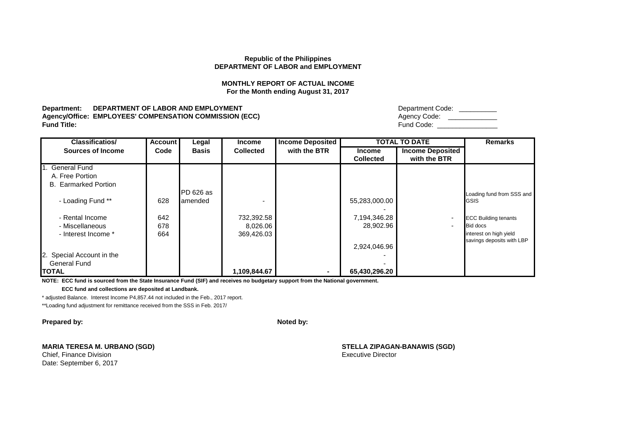# **MONTHLY REPORT OF ACTUAL INCOME For the Month ending August 31, 2017**

**Department: DEPARTMENT OF LABOR AND EMPLOYMENT Agency/Office: EMPLOYEES' COMPENSATION COMMISSION (ECC) Fund Title:** Fund Code: \_\_\_\_\_\_\_\_\_\_\_\_\_\_\_\_

| Department Code: |  |
|------------------|--|
| Agency Code:     |  |
| Fund Code:       |  |

| <b>Classificatios/</b>      | <b>Account</b> | Legal        | <b>Income</b>    | <b>Income Deposited</b> |                  | <b>TOTAL TO DATE</b>     | <b>Remarks</b>              |
|-----------------------------|----------------|--------------|------------------|-------------------------|------------------|--------------------------|-----------------------------|
| <b>Sources of Income</b>    | Code           | <b>Basis</b> | <b>Collected</b> | with the BTR            | <b>Income</b>    | <b>Income Deposited</b>  |                             |
|                             |                |              |                  |                         | <b>Collected</b> | with the BTR             |                             |
| 1. General Fund             |                |              |                  |                         |                  |                          |                             |
| A. Free Portion             |                |              |                  |                         |                  |                          |                             |
| <b>B.</b> Earmarked Portion |                |              |                  |                         |                  |                          |                             |
|                             |                | PD 626 as    |                  |                         |                  |                          | Loading fund from SSS and   |
| - Loading Fund **           | 628            | amended      |                  |                         | 55,283,000.00    |                          | <b>GSIS</b>                 |
|                             |                |              |                  |                         |                  |                          |                             |
| - Rental Income             | 642            |              | 732,392.58       |                         | 7,194,346.28     | ٠                        | <b>ECC Building tenants</b> |
| - Miscellaneous             | 678            |              | 8,026.06         |                         | 28,902.96        | $\overline{\phantom{0}}$ | <b>Bid docs</b>             |
| - Interest Income *         | 664            |              | 369,426.03       |                         |                  |                          | interest on high yield      |
|                             |                |              |                  |                         |                  |                          | savings deposits with LBP   |
|                             |                |              |                  |                         | 2,924,046.96     |                          |                             |
| 2. Special Account in the   |                |              |                  |                         |                  |                          |                             |
| <b>General Fund</b>         |                |              |                  |                         |                  |                          |                             |
| <b>TOTAL</b>                |                |              | 1,109,844.67     |                         | 65,430,296.20    |                          |                             |

**NOTE: ECC fund is sourced from the State Insurance Fund (SIF) and receives no budgetary support from the National government.**

 **ECC fund and collections are deposited at Landbank.**

\* adjusted Balance. Interest Income P4,857.44 not included in the Feb., 2017 report.

\*\*Loading fund adjustment for remittance received from the SSS in Feb. 2017/

**Prepared by: Noted by: Noted by: Noted by: Noted by: Noted by: Noted by: Noted by: Noted by: Noted by: Noted by: Noted by: Noted by: Noted by: Noted by: Noted by: Noted by: Noted by: No** 

**MARIA TERESA M. URBANO (SGD) STELLA ZIPAGAN-BANAWIS (SGD)**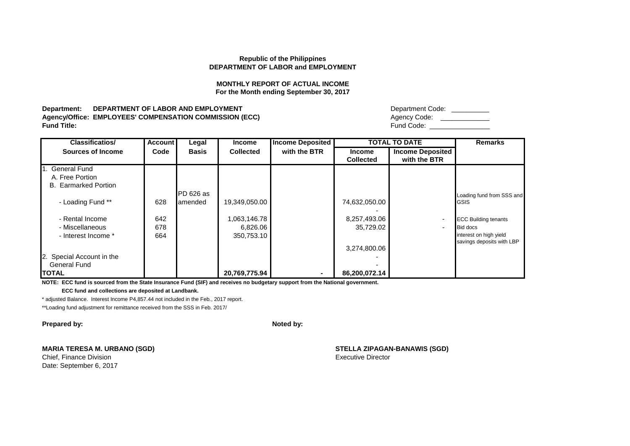### **MONTHLY REPORT OF ACTUAL INCOME For the Month ending September 30, 2017**

**Department: DEPARTMENT OF LABOR AND EMPLOYMENT Agency/Office: EMPLOYEES' COMPENSATION COMMISSION (ECC)**<br>Fund Title: **Fund Title:** Fund Code: \_\_\_\_\_\_\_\_\_\_\_\_\_\_\_\_

| Department Code: |
|------------------|
| Agency Code:     |
| Fund Code:       |

| <b>Classificatios/</b>      | <b>Account</b> | Legal        | <b>Income</b>    | <b>Income Deposited</b> |                  | <b>TOTAL TO DATE</b>     | <b>Remarks</b>              |
|-----------------------------|----------------|--------------|------------------|-------------------------|------------------|--------------------------|-----------------------------|
| <b>Sources of Income</b>    | Code           | <b>Basis</b> | <b>Collected</b> | with the BTR            | <b>Income</b>    | <b>Income Deposited</b>  |                             |
|                             |                |              |                  |                         | <b>Collected</b> | with the BTR             |                             |
| 1. General Fund             |                |              |                  |                         |                  |                          |                             |
| A. Free Portion             |                |              |                  |                         |                  |                          |                             |
| <b>B.</b> Earmarked Portion |                |              |                  |                         |                  |                          |                             |
|                             |                | PD 626 as    |                  |                         |                  |                          | Loading fund from SSS and   |
| - Loading Fund **           | 628            | amended      | 19,349,050.00    |                         | 74,632,050.00    |                          | <b>GSIS</b>                 |
|                             |                |              |                  |                         |                  |                          |                             |
| - Rental Income             | 642            |              | 1,063,146.78     |                         | 8,257,493.06     |                          | <b>ECC Building tenants</b> |
| - Miscellaneous             | 678            |              | 6,826.06         |                         | 35,729.02        | $\overline{\phantom{0}}$ | <b>Bid docs</b>             |
| - Interest Income *         | 664            |              | 350,753.10       |                         |                  |                          | interest on high yield      |
|                             |                |              |                  |                         |                  |                          | savings deposits with LBP   |
|                             |                |              |                  |                         | 3,274,800.06     |                          |                             |
| 2. Special Account in the   |                |              |                  |                         |                  |                          |                             |
| <b>General Fund</b>         |                |              |                  |                         |                  |                          |                             |
| <b>TOTAL</b>                |                |              | 20,769,775.94    |                         | 86,200,072.14    |                          |                             |

**NOTE: ECC fund is sourced from the State Insurance Fund (SIF) and receives no budgetary support from the National government.**

 **ECC fund and collections are deposited at Landbank.**

\* adjusted Balance. Interest Income P4,857.44 not included in the Feb., 2017 report.

\*\*Loading fund adjustment for remittance received from the SSS in Feb. 2017/

**Prepared by: Noted by: Noted by: Noted by: Noted by: Noted by: Noted by: Noted by: Noted by: Noted by: Noted by: Noted by: Noted by: Noted by: Noted by: Noted by: Noted by: Noted by: No** 

**MARIA TERESA M. URBANO (SGD) STELLA ZIPAGAN-BANAWIS (SGD)**

Chief, Finance Division **Executive Director** Executive Director Date: September 6, 2017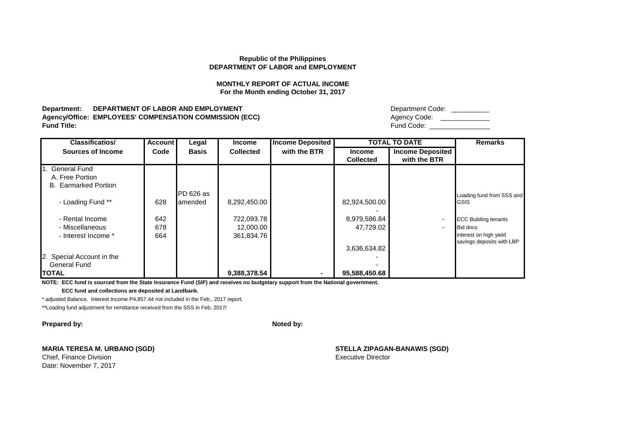### **MONTHLY REPORT OF ACTUAL INCOME For the Month ending October 31, 2017**

**Department: DEPARTMENT OF LABOR AND EMPLOYMENT Agency/Office: EMPLOYEES' COMPENSATION COMMISSION (ECC)**<br>Fund Title: **Fund Title:** Fund Code: \_\_\_\_\_\_\_\_\_\_\_\_\_\_\_\_

| Department Code: |
|------------------|
| Agency Code:     |
| Fund Code:       |

| <b>Classificatios/</b>      | <b>Account</b> | Legal        | <b>Income</b>    | <b>Income Deposited</b> |                  | <b>TOTAL TO DATE</b>     | <b>Remarks</b>              |
|-----------------------------|----------------|--------------|------------------|-------------------------|------------------|--------------------------|-----------------------------|
| <b>Sources of Income</b>    | Code           | <b>Basis</b> | <b>Collected</b> | with the BTR            | <b>Income</b>    | <b>Income Deposited</b>  |                             |
|                             |                |              |                  |                         | <b>Collected</b> | with the BTR             |                             |
| 1. General Fund             |                |              |                  |                         |                  |                          |                             |
| A. Free Portion             |                |              |                  |                         |                  |                          |                             |
| <b>B.</b> Earmarked Portion |                |              |                  |                         |                  |                          |                             |
|                             |                | PD 626 as    |                  |                         |                  |                          | Loading fund from SSS and   |
| - Loading Fund **           | 628            | amended      | 8,292,450.00     |                         | 82,924,500.00    |                          | <b>GSIS</b>                 |
|                             |                |              |                  |                         |                  |                          |                             |
| - Rental Income             | 642            |              | 722,093.78       |                         | 8,979,586.84     |                          | <b>ECC Building tenants</b> |
| - Miscellaneous             | 678            |              | 12,000.00        |                         | 47,729.02        | $\overline{\phantom{0}}$ | <b>Bid docs</b>             |
| - Interest Income *         | 664            |              | 361,834.76       |                         |                  |                          | interest on high yield      |
|                             |                |              |                  |                         |                  |                          | savings deposits with LBP   |
|                             |                |              |                  |                         | 3,636,634.82     |                          |                             |
| 2. Special Account in the   |                |              |                  |                         |                  |                          |                             |
| <b>General Fund</b>         |                |              |                  |                         |                  |                          |                             |
| <b>TOTAL</b>                |                |              | 9,388,378.54     |                         | 95,588,450.68    |                          |                             |

**NOTE: ECC fund is sourced from the State Insurance Fund (SIF) and receives no budgetary support from the National government.**

 **ECC fund and collections are deposited at Landbank.**

\* adjusted Balance. Interest Income P4,857.44 not included in the Feb., 2017 report.

\*\*Loading fund adjustment for remittance received from the SSS in Feb. 2017/

**Prepared by: Noted by: Noted by: Noted by: Noted by: Noted by: Noted by: Noted by: Noted by: Noted by: Noted by: Noted by: Noted by: Noted by: Noted by: Noted by: Noted by: Noted by: No** 

**MARIA TERESA M. URBANO (SGD) STELLA ZIPAGAN-BANAWIS (SGD)**

Chief, Finance Division **Executive Director** Executive Director Date: November 7, 2017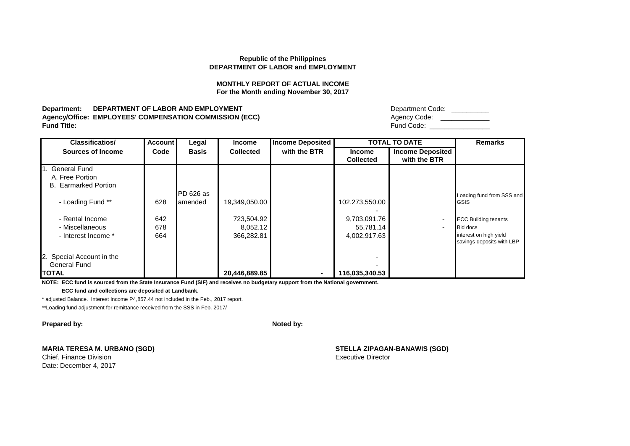### **MONTHLY REPORT OF ACTUAL INCOME For the Month ending November 30, 2017**

**Department: DEPARTMENT OF LABOR AND EMPLOYMENT Agency/Office: EMPLOYEES' COMPENSATION COMMISSION (ECC)**<br>Fund Title: **Fund Title:** Fund Code: \_\_\_\_\_\_\_\_\_\_\_\_\_\_\_\_

| Department Code: |
|------------------|
| Agency Code:     |
| Fund Code:       |

| <b>Classificatios/</b>      | <b>Account</b> | Legal        | <b>Income</b>    | <b>Income Deposited</b> |                  | <b>TOTAL TO DATE</b>     | <b>Remarks</b>              |
|-----------------------------|----------------|--------------|------------------|-------------------------|------------------|--------------------------|-----------------------------|
| <b>Sources of Income</b>    | Code           | <b>Basis</b> | <b>Collected</b> | with the BTR            | <b>Income</b>    | <b>Income Deposited</b>  |                             |
|                             |                |              |                  |                         | <b>Collected</b> | with the BTR             |                             |
| 1. General Fund             |                |              |                  |                         |                  |                          |                             |
| A. Free Portion             |                |              |                  |                         |                  |                          |                             |
| <b>B.</b> Earmarked Portion |                |              |                  |                         |                  |                          |                             |
|                             |                | PD 626 as    |                  |                         |                  |                          | Loading fund from SSS and   |
| - Loading Fund **           | 628            | lamended     | 19,349,050.00    |                         | 102,273,550.00   |                          | <b>GSIS</b>                 |
|                             |                |              |                  |                         |                  |                          |                             |
| - Rental Income             | 642            |              | 723,504.92       |                         | 9,703,091.76     | ٠                        | <b>ECC Building tenants</b> |
| - Miscellaneous             | 678            |              | 8,052.12         |                         | 55,781.14        | $\overline{\phantom{0}}$ | <b>Bid docs</b>             |
| - Interest Income *         | 664            |              | 366,282.81       |                         | 4,002,917.63     |                          | interest on high yield      |
|                             |                |              |                  |                         |                  |                          | savings deposits with LBP   |
|                             |                |              |                  |                         |                  |                          |                             |
| 2. Special Account in the   |                |              |                  |                         |                  |                          |                             |
| <b>General Fund</b>         |                |              |                  |                         |                  |                          |                             |
| <b>TOTAL</b>                |                |              | 20,446,889.85    |                         | 116,035,340.53   |                          |                             |

**NOTE: ECC fund is sourced from the State Insurance Fund (SIF) and receives no budgetary support from the National government.**

 **ECC fund and collections are deposited at Landbank.**

\* adjusted Balance. Interest Income P4,857.44 not included in the Feb., 2017 report.

\*\*Loading fund adjustment for remittance received from the SSS in Feb. 2017/

**Prepared by: Noted by: Noted by: Noted by: Noted by: Noted by: Noted by: Noted by: Noted by: Noted by: Noted by: Noted by: Noted by: Noted by: Noted by: Noted by: Noted by: Noted by: No** 

**MARIA TERESA M. URBANO (SGD) STELLA ZIPAGAN-BANAWIS (SGD)**

Chief, Finance Division **Executive Director** Executive Director Date: December 4, 2017